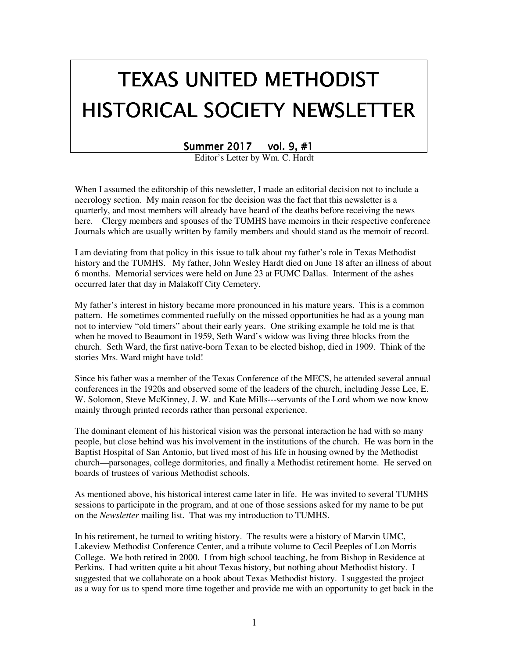# TEXAS UNITED METHODIST HISTORICAL SOCIETY NEWSLETTER

Summer 2017 vol. 9, #1

Editor's Letter by Wm. C. Hardt

When I assumed the editorship of this newsletter, I made an editorial decision not to include a necrology section. My main reason for the decision was the fact that this newsletter is a quarterly, and most members will already have heard of the deaths before receiving the news here. Clergy members and spouses of the TUMHS have memoirs in their respective conference Journals which are usually written by family members and should stand as the memoir of record.

I am deviating from that policy in this issue to talk about my father's role in Texas Methodist history and the TUMHS. My father, John Wesley Hardt died on June 18 after an illness of about 6 months. Memorial services were held on June 23 at FUMC Dallas. Interment of the ashes occurred later that day in Malakoff City Cemetery.

My father's interest in history became more pronounced in his mature years. This is a common pattern. He sometimes commented ruefully on the missed opportunities he had as a young man not to interview "old timers" about their early years. One striking example he told me is that when he moved to Beaumont in 1959, Seth Ward's widow was living three blocks from the church. Seth Ward, the first native-born Texan to be elected bishop, died in 1909. Think of the stories Mrs. Ward might have told!

Since his father was a member of the Texas Conference of the MECS, he attended several annual conferences in the 1920s and observed some of the leaders of the church, including Jesse Lee, E. W. Solomon, Steve McKinney, J. W. and Kate Mills---servants of the Lord whom we now know mainly through printed records rather than personal experience.

The dominant element of his historical vision was the personal interaction he had with so many people, but close behind was his involvement in the institutions of the church. He was born in the Baptist Hospital of San Antonio, but lived most of his life in housing owned by the Methodist church—parsonages, college dormitories, and finally a Methodist retirement home. He served on boards of trustees of various Methodist schools.

As mentioned above, his historical interest came later in life. He was invited to several TUMHS sessions to participate in the program, and at one of those sessions asked for my name to be put on the *Newsletter* mailing list. That was my introduction to TUMHS.

In his retirement, he turned to writing history. The results were a history of Marvin UMC, Lakeview Methodist Conference Center, and a tribute volume to Cecil Peeples of Lon Morris College. We both retired in 2000. I from high school teaching, he from Bishop in Residence at Perkins. I had written quite a bit about Texas history, but nothing about Methodist history. I suggested that we collaborate on a book about Texas Methodist history. I suggested the project as a way for us to spend more time together and provide me with an opportunity to get back in the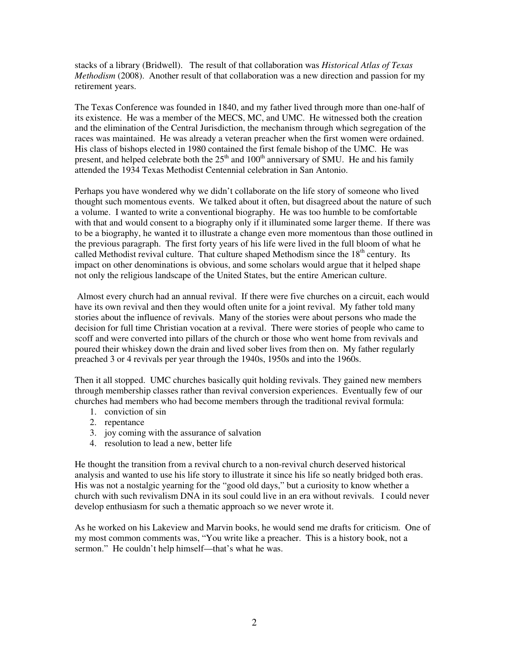stacks of a library (Bridwell). The result of that collaboration was *Historical Atlas of Texas Methodism* (2008). Another result of that collaboration was a new direction and passion for my retirement years.

The Texas Conference was founded in 1840, and my father lived through more than one-half of its existence. He was a member of the MECS, MC, and UMC. He witnessed both the creation and the elimination of the Central Jurisdiction, the mechanism through which segregation of the races was maintained. He was already a veteran preacher when the first women were ordained. His class of bishops elected in 1980 contained the first female bishop of the UMC. He was present, and helped celebrate both the  $25<sup>th</sup>$  and  $100<sup>th</sup>$  anniversary of SMU. He and his family attended the 1934 Texas Methodist Centennial celebration in San Antonio.

Perhaps you have wondered why we didn't collaborate on the life story of someone who lived thought such momentous events. We talked about it often, but disagreed about the nature of such a volume. I wanted to write a conventional biography. He was too humble to be comfortable with that and would consent to a biography only if it illuminated some larger theme. If there was to be a biography, he wanted it to illustrate a change even more momentous than those outlined in the previous paragraph. The first forty years of his life were lived in the full bloom of what he called Methodist revival culture. That culture shaped Methodism since the  $18<sup>th</sup>$  century. Its impact on other denominations is obvious, and some scholars would argue that it helped shape not only the religious landscape of the United States, but the entire American culture.

 Almost every church had an annual revival. If there were five churches on a circuit, each would have its own revival and then they would often unite for a joint revival. My father told many stories about the influence of revivals. Many of the stories were about persons who made the decision for full time Christian vocation at a revival. There were stories of people who came to scoff and were converted into pillars of the church or those who went home from revivals and poured their whiskey down the drain and lived sober lives from then on. My father regularly preached 3 or 4 revivals per year through the 1940s, 1950s and into the 1960s.

Then it all stopped. UMC churches basically quit holding revivals. They gained new members through membership classes rather than revival conversion experiences. Eventually few of our churches had members who had become members through the traditional revival formula:

- 1. conviction of sin
- 2. repentance
- 3. joy coming with the assurance of salvation
- 4. resolution to lead a new, better life

He thought the transition from a revival church to a non-revival church deserved historical analysis and wanted to use his life story to illustrate it since his life so neatly bridged both eras. His was not a nostalgic yearning for the "good old days," but a curiosity to know whether a church with such revivalism DNA in its soul could live in an era without revivals. I could never develop enthusiasm for such a thematic approach so we never wrote it.

As he worked on his Lakeview and Marvin books, he would send me drafts for criticism. One of my most common comments was, "You write like a preacher. This is a history book, not a sermon." He couldn't help himself—that's what he was.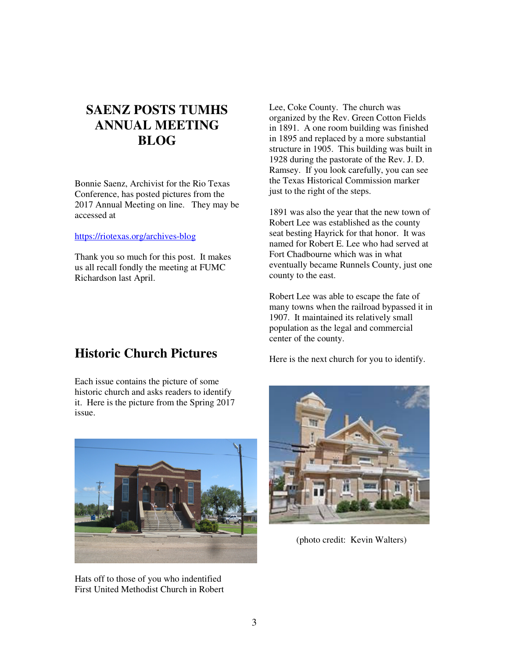# **SAENZ POSTS TUMHS ANNUAL MEETING BLOG**

Bonnie Saenz, Archivist for the Rio Texas Conference, has posted pictures from the 2017 Annual Meeting on line. They may be accessed at

#### https://riotexas.org/archives-blog

Thank you so much for this post. It makes us all recall fondly the meeting at FUMC Richardson last April.

# **Historic Church Pictures**

Each issue contains the picture of some historic church and asks readers to identify it. Here is the picture from the Spring 2017 issue.



Hats off to those of you who indentified First United Methodist Church in Robert

Lee, Coke County. The church was organized by the Rev. Green Cotton Fields in 1891. A one room building was finished in 1895 and replaced by a more substantial structure in 1905. This building was built in 1928 during the pastorate of the Rev. J. D. Ramsey. If you look carefully, you can see the Texas Historical Commission marker just to the right of the steps.

1891 was also the year that the new town of Robert Lee was established as the county seat besting Hayrick for that honor. It was named for Robert E. Lee who had served at Fort Chadbourne which was in what eventually became Runnels County, just one county to the east.

Robert Lee was able to escape the fate of many towns when the railroad bypassed it in 1907. It maintained its relatively small population as the legal and commercial center of the county.

Here is the next church for you to identify.



(photo credit: Kevin Walters)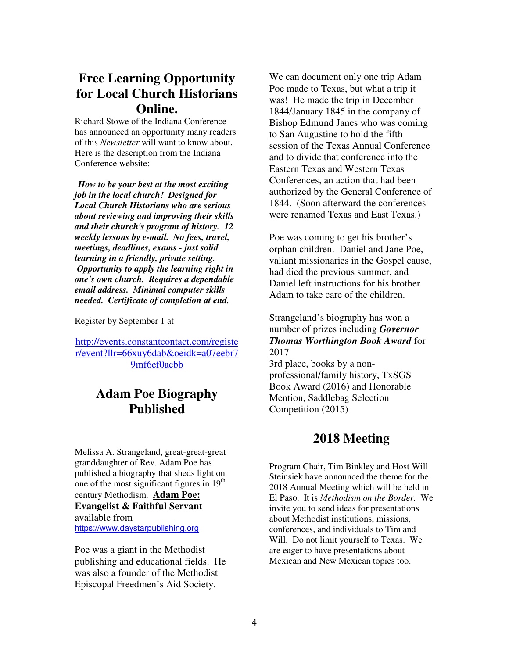# **Free Learning Opportunity for Local Church Historians Online.**

Richard Stowe of the Indiana Conference has announced an opportunity many readers of this *Newsletter* will want to know about. Here is the description from the Indiana Conference website:

*How to be your best at the most exciting job in the local church! Designed for Local Church Historians who are serious about reviewing and improving their skills and their church's program of history. 12 weekly lessons by e-mail. No fees, travel, meetings, deadlines, exams - just solid learning in a friendly, private setting. Opportunity to apply the learning right in one's own church. Requires a dependable email address. Minimal computer skills needed. Certificate of completion at end.* 

Register by September 1 at

http://events.constantcontact.com/registe r/event?llr=66xuy6dab&oeidk=a07eebr7 9mf6ef0acbb

# **Adam Poe Biography Published**

Melissa A. Strangeland, great-great-great granddaughter of Rev. Adam Poe has published a biography that sheds light on one of the most significant figures in  $19<sup>th</sup>$ century Methodism. **Adam Poe: Evangelist & Faithful Servant**  available from https://www.daystarpublishing.org

Poe was a giant in the Methodist publishing and educational fields. He was also a founder of the Methodist Episcopal Freedmen's Aid Society.

We can document only one trip Adam Poe made to Texas, but what a trip it was! He made the trip in December 1844/January 1845 in the company of Bishop Edmund Janes who was coming to San Augustine to hold the fifth session of the Texas Annual Conference and to divide that conference into the Eastern Texas and Western Texas Conferences, an action that had been authorized by the General Conference of 1844. (Soon afterward the conferences were renamed Texas and East Texas.)

Poe was coming to get his brother's orphan children. Daniel and Jane Poe, valiant missionaries in the Gospel cause, had died the previous summer, and Daniel left instructions for his brother Adam to take care of the children.

#### Strangeland's biography has won a number of prizes including *Governor Thomas Worthington Book Award* for 2017

3rd place, books by a nonprofessional/family history, TxSGS Book Award (2016) and Honorable Mention, Saddlebag Selection Competition (2015)

## **2018 Meeting**

Program Chair, Tim Binkley and Host Will Steinsiek have announced the theme for the 2018 Annual Meeting which will be held in El Paso. It is *Methodism on the Border.* We invite you to send ideas for presentations about Methodist institutions, missions, conferences, and individuals to Tim and Will. Do not limit yourself to Texas. We are eager to have presentations about Mexican and New Mexican topics too.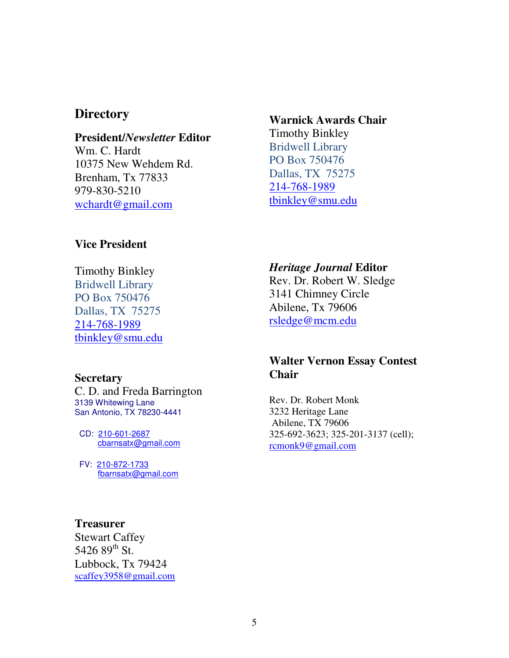## **Directory**

# **President/***Newsletter* **Editor**

Wm. C. Hardt 10375 New Wehdem Rd. Brenham, Tx 77833 979-830-5210 wchardt@gmail.com

## **Vice President**

Timothy Binkley Bridwell Library PO Box 750476 Dallas, TX 75275 214-768-1989 tbinkley@smu.edu

#### **Secretary**

C. D. and Freda Barrington 3139 Whitewing Lane San Antonio, TX 78230-4441

 CD: 210-601-2687 cbarnsatx@gmail.com

 FV: 210-872-1733 fbarnsatx@gmail.com

#### **Treasurer**

Stewart Caffey 5426  $89^{th}$  St. Lubbock, Tx 79424 scaffey3958@gmail.com

## **Warnick Awards Chair**

Timothy Binkley Bridwell Library PO Box 750476 Dallas, TX 75275 214-768-1989 tbinkley@smu.edu

### *Heritage Journal* **Editor**

Rev. Dr. Robert W. Sledge 3141 Chimney Circle Abilene, Tx 79606 rsledge@mcm.edu

## **Walter Vernon Essay Contest Chair**

Rev. Dr. Robert Monk 3232 Heritage Lane Abilene, TX 79606 325-692-3623; 325-201-3137 (cell); rcmonk9@gmail.com